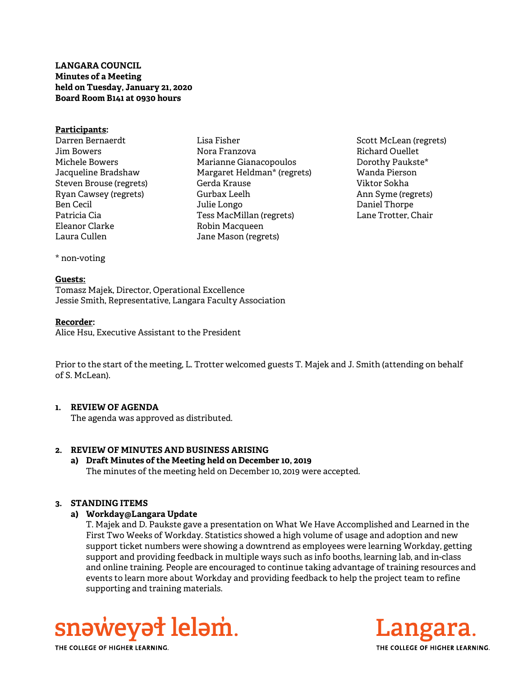LANGARA COUNCIL Minutes of a Meeting held on Tuesday, January 21, 2020 Board Room B141 at 0930 hours

#### Participants:

- Darren Bernaerdt Jim Bowers Michele Bowers Jacqueline Bradshaw Steven Brouse (regrets) Ryan Cawsey (regrets) Ben Cecil Patricia Cia Eleanor Clarke Laura Cullen
- Lisa Fisher Nora Franzova Marianne Gianacopoulos Margaret Heldman\* (regrets) Gerda Krause Gurbax Leelh Julie Longo Tess MacMillan (regrets) Robin Macqueen Jane Mason (regrets)
- Scott McLean (regrets) Richard Ouellet Dorothy Paukste\* Wanda Pierson Viktor Sokha Ann Syme (regrets) Daniel Thorpe Lane Trotter, Chair

\* non-voting

#### Guests:

Tomasz Majek, Director, Operational Excellence Jessie Smith, Representative, Langara Faculty Association

#### Recorder:

Alice Hsu, Executive Assistant to the President

Prior to the start of the meeting, L. Trotter welcomed guests T. Majek and J. Smith (attending on behalf of S. McLean).

## 1. REVIEW OF AGENDA

The agenda was approved as distributed.

# 2. REVIEW OF MINUTES AND BUSINESS ARISING

a) Draft Minutes of the Meeting held on December 10, 2019 The minutes of the meeting held on December 10, 2019 were accepted.

## 3. STANDING ITEMS

## a) Workday@Langara Update

T. Majek and D. Paukste gave a presentation on What We Have Accomplished and Learned in the First Two Weeks of Workday. Statistics showed a high volume of usage and adoption and new support ticket numbers were showing a downtrend as employees were learning Workday, getting support and providing feedback in multiple ways such as info booths, learning lab, and in-class and online training. People are encouraged to continue taking advantage of training resources and events to learn more about Workday and providing feedback to help the project team to refine supporting and training materials.





THE COLLEGE OF HIGHER LEARNING.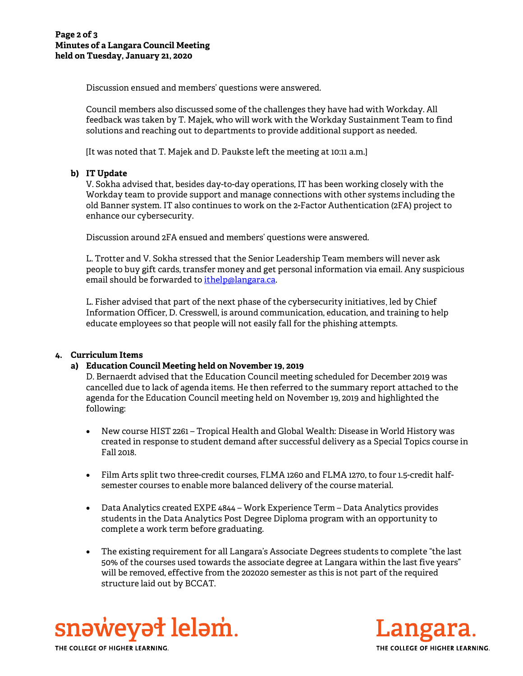Discussion ensued and members' questions were answered.

Council members also discussed some of the challenges they have had with Workday. All feedback was taken by T. Majek, who will work with the Workday Sustainment Team to find solutions and reaching out to departments to provide additional support as needed.

[It was noted that T. Majek and D. Paukste left the meeting at 10:11 a.m.]

# b) IT Update

V. Sokha advised that, besides day-to-day operations, IT has been working closely with the Workday team to provide support and manage connections with other systems including the old Banner system. IT also continues to work on the 2-Factor Authentication (2FA) project to enhance our cybersecurity.

Discussion around 2FA ensued and members' questions were answered.

L. Trotter and V. Sokha stressed that the Senior Leadership Team members will never ask people to buy gift cards, transfer money and get personal information via email. Any suspicious email should be forwarded to *ithelp*@langara.ca.

L. Fisher advised that part of the next phase of the cybersecurity initiatives, led by Chief Information Officer, D. Cresswell, is around communication, education, and training to help educate employees so that people will not easily fall for the phishing attempts.

# 4. Curriculum Items

# a) Education Council Meeting held on November 19, 2019

D. Bernaerdt advised that the Education Council meeting scheduled for December 2019 was cancelled due to lack of agenda items. He then referred to the summary report attached to the agenda for the Education Council meeting held on November 19, 2019 and highlighted the following:

- New course HIST 2261 Tropical Health and Global Wealth: Disease in World History was created in response to student demand after successful delivery as a Special Topics course in Fall 2018.
- Film Arts split two three-credit courses, FLMA 1260 and FLMA 1270, to four 1.5-credit halfsemester courses to enable more balanced delivery of the course material.
- Data Analytics created EXPE 4844 Work Experience Term Data Analytics provides students in the Data Analytics Post Degree Diploma program with an opportunity to complete a work term before graduating.
- The existing requirement for all Langara's Associate Degrees students to complete "the last 50% of the courses used towards the associate degree at Langara within the last five years" will be removed, effective from the 202020 semester as this is not part of the required structure laid out by BCCAT.